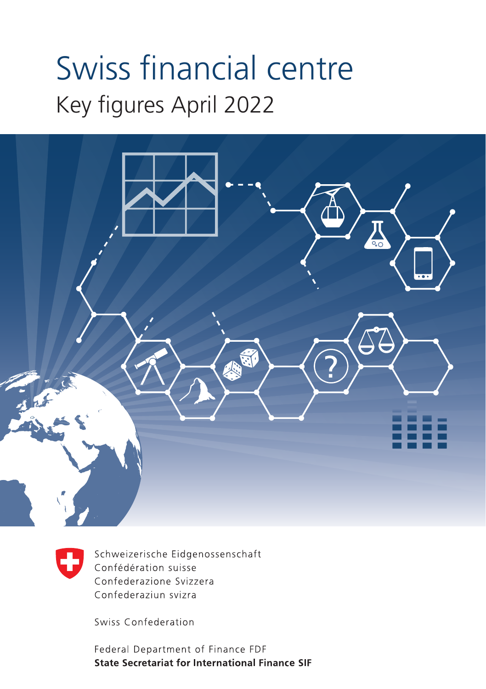# Swiss financial centre Key figures April 2022





Schweizerische Eidgenossenschaft Confédération suisse Confederazione Svizzera Confederaziun svizra

Swiss Confederation

Federal Department of Finance FDF **State Secretariat for International Finance SIF**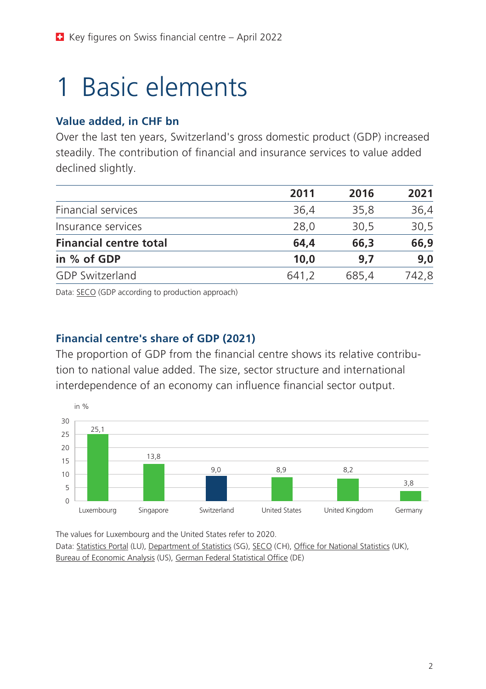## 1 Basic elements

#### **Value added, in CHF bn**

Over the last ten years, Switzerland's gross domestic product (GDP) increased steadily. The contribution of financial and insurance services to value added declined slightly.

|                               | 2011  | 2016  | 2021  |
|-------------------------------|-------|-------|-------|
| Financial services            | 36.4  | 35.8  | 36,4  |
| Insurance services            | 28,0  | 30.5  | 30,5  |
| <b>Financial centre total</b> | 64.4  | 66,3  | 66,9  |
| in % of GDP                   | 10.0  | 9.7   | 9.0   |
| <b>GDP Switzerland</b>        | 641.2 | 685,4 | 742.8 |
|                               |       |       |       |

Data: [SECO](https://www.seco.admin.ch/seco/en/home/wirtschaftslage---wirtschaftspolitik/Wirtschaftslage/bip-quartalsschaetzungen-/daten.html) (GDP according to production approach)

### **Financial centre's share of GDP (2021)**

The proportion of GDP from the financial centre shows its relative contribution to national value added. The size, sector structure and international interdependence of an economy can influence financial sector output.



The values for Luxembourg and the United States refer to 2020. Data: [Statistics Portal](https://statistiques.public.lu/en/statistique-publique.html) (LU), [Department of Statistics](https://www.tablebuilder.singstat.gov.sg/publicfacing/backToMainMenu.action) (SG), [SECO](https://www.seco.admin.ch/seco/en/home/wirtschaftslage---wirtschaftspolitik/Wirtschaftslage/bip-quartalsschaetzungen-/daten.html) (CH), [Office for National Statistics](https://www.ons.gov.uk/economy/grossdomesticproductgdp/datasets/ukgdpolowlevelaggregates) (UK), [Bureau of Economic Analysis](https://apps.bea.gov/iTable/iTable.cfm?isuri=1&reqid=151&step=1) (US), [German Federal Statistical Offi](https://www-genesis.destatis.de/genesis/online?operation=abruftabelleBearbeiten&levelindex=1&levelid=1585324829182&auswahloperation=abruftabelleAuspraegungAuswaehlen&auswahlverzeichnis=ordnungsstruktur&auswahlziel=werteabruf&code=81000-0013&auswahltext=&werteabruf=Werteabruf#astructure)ce (DE)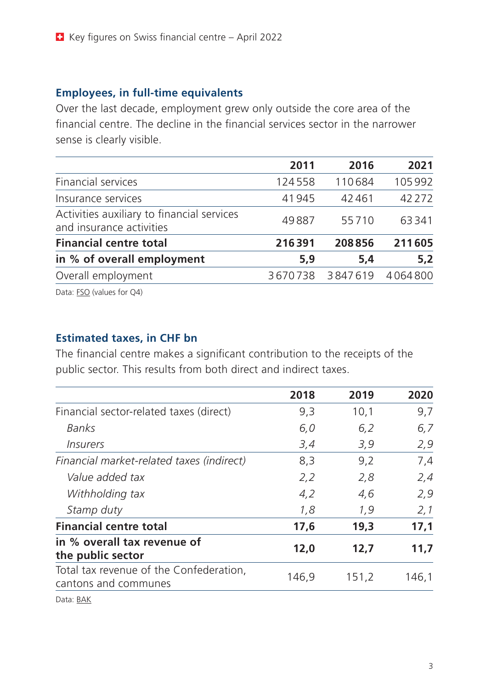#### **Employees, in full-time equivalents**

Over the last decade, employment grew only outside the core area of the financial centre. The decline in the financial services sector in the narrower sense is clearly visible.

|                                                                        | 2011    | 2016    | 2021     |
|------------------------------------------------------------------------|---------|---------|----------|
| Financial services                                                     | 124558  | 110684  | 105992   |
| Insurance services                                                     | 41945   | 42461   | 42 2 7 2 |
| Activities auxiliary to financial services<br>and insurance activities | 49887   | 55710   | 63341    |
| <b>Financial centre total</b>                                          | 216391  | 208856  | 211605   |
| in % of overall employment                                             | 5.9     | 5,4     | 5,2      |
| Overall employment                                                     | 3670738 | 3847619 | 4064800  |
|                                                                        |         |         |          |

Data: **[FSO](https://www.bfs.admin.ch/bfs/en/home/aktuell/neue-veroeffentlichungen.assetdetail.16044066.html)** (values for Q4)

#### **Estimated taxes, in CHF bn**

The financial centre makes a significant contribution to the receipts of the public sector. This results from both direct and indirect taxes.

|                                                                 | 2018  | 2019  | 2020  |
|-----------------------------------------------------------------|-------|-------|-------|
| Financial sector-related taxes (direct)                         | 9,3   | 10,1  | 9,7   |
| Banks                                                           | 6,0   | 6,2   | 6,7   |
| <i><u><b>Insurers</b></u></i>                                   | 3,4   | 3,9   | 2,9   |
| Financial market-related taxes (indirect)                       | 8,3   | 9,2   | 7,4   |
| Value added tax                                                 | 2,2   | 2,8   | 2,4   |
| Withholding tax                                                 | 4,2   | 4,6   | 2,9   |
| Stamp duty                                                      | 1,8   | 1,9   | 2,1   |
| <b>Financial centre total</b>                                   | 17,6  | 19,3  | 17,1  |
| in % overall tax revenue of<br>the public sector                | 12,0  | 12,7  | 11,7  |
| Total tax revenue of the Confederation,<br>cantons and communes | 146,9 | 151,2 | 146,1 |
| $\sim$ $\sim$ $\sim$ $\sim$                                     |       |       |       |

Data: [BAK](https://www.bak-economics.com/publikation/news/schweizer-finanzsektor-tragende-stuetze-der-wirtschaft)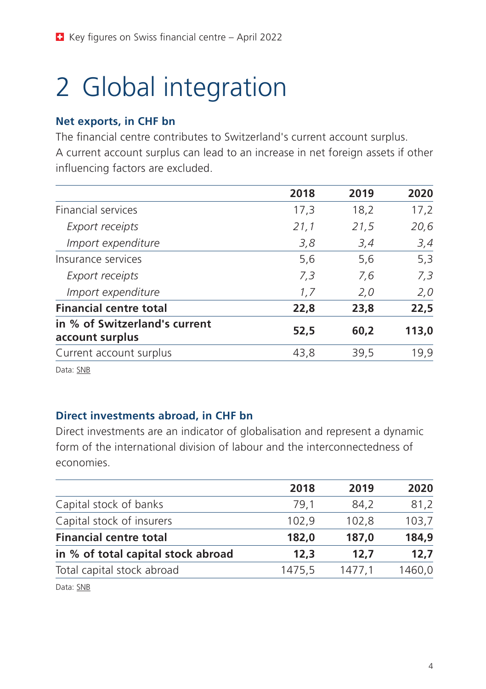## 2 Global integration

#### **Net exports, in CHF bn**

The financial centre contributes to Switzerland's current account surplus. A current account surplus can lead to an increase in net foreign assets if other influencing factors are excluded.

|                                                  | 2018 | 2019 | 2020  |
|--------------------------------------------------|------|------|-------|
| Financial services                               | 17,3 | 18,2 | 17,2  |
| Export receipts                                  | 21,1 | 21,5 | 20,6  |
| Import expenditure                               | 3,8  | 3,4  | 3,4   |
| Insurance services                               | 5,6  | 5,6  | 5,3   |
| Export receipts                                  | 7,3  | 7,6  | 7,3   |
| Import expenditure                               | 1,7  | 2,0  | 2,0   |
| <b>Financial centre total</b>                    | 22,8 | 23,8 | 22,5  |
| in % of Switzerland's current<br>account surplus | 52,5 | 60,2 | 113,0 |
| Current account surplus                          | 43,8 | 39,5 | 19,9  |
|                                                  |      |      |       |

Data: [SNB](https://data.snb.ch/en/topics/aube/cube/bopcurra?fromDate=2014&toDate=2020&dimSel=D0(L0,V1,F),D1(E,A,S))

#### **Direct investments abroad, in CHF bn**

Direct investments are an indicator of globalisation and represent a dynamic form of the international division of labour and the interconnectedness of economies.

| 2018   | 2019   | 2020   |
|--------|--------|--------|
| 79.1   | 84.2   | 81,2   |
| 102,9  | 102,8  | 103,7  |
| 182,0  | 187.0  | 184,9  |
| 12.3   | 12.7   | 12,7   |
| 1475,5 | 1477,1 | 1460,0 |
|        |        |        |

Data: [SNB](https://data.snb.ch/en/topics/aube/cube/fdiausbabsa?fromDate=2014&toDate=2020&dimSel=D0(D0_0,D0_1,D0_2),D1(B,V,D1_2))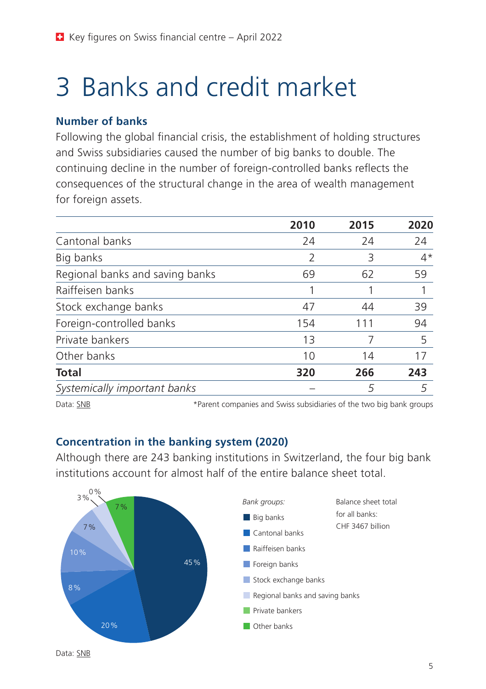## 3 Banks and credit market

#### **Number of banks**

Following the global financial crisis, the establishment of holding structures and Swiss subsidiaries caused the number of big banks to double. The continuing decline in the number of foreign-controlled banks reflects the consequences of the structural change in the area of wealth management for foreign assets.

|                                 | 2010 | 2015 | 2020 |
|---------------------------------|------|------|------|
| Cantonal banks                  | 24   | 24   | 24   |
| Big banks                       | 2    | 3    | $4*$ |
| Regional banks and saving banks | 69   | 62   | 59   |
| Raiffeisen banks                |      |      |      |
| Stock exchange banks            | 47   | 44   | 39   |
| Foreign-controlled banks        | 154  | 111  | 94   |
| Private bankers                 | 13   |      | 5    |
| Other banks                     | 10   | 14   | 17   |
| <b>Total</b>                    | 320  | 266  | 243  |
| Systemically important banks    |      | 5    | 5    |

Data: [SNB](https://data.snb.ch/en/topics/banken/chart/bastrazbach) \*Parent companies and Swiss subsidiaries of the two big bank groups

#### **Concentration in the banking system (2020)**

Although there are 243 banking institutions in Switzerland, the four big bank institutions account for almost half of the entire balance sheet total.

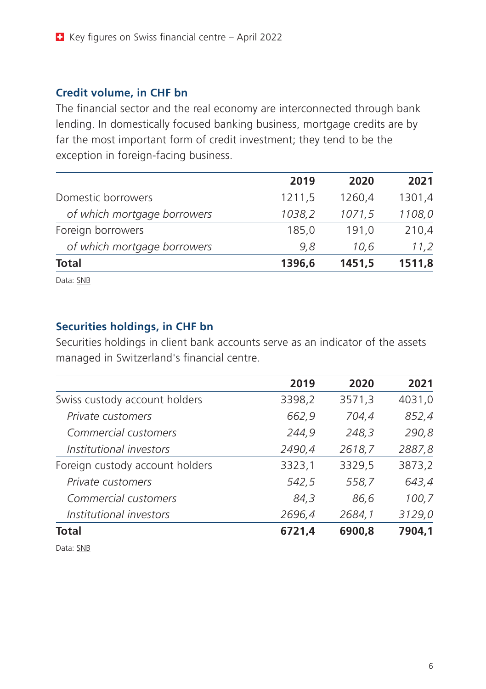#### **Credit volume, in CHF bn**

The financial sector and the real economy are interconnected through bank lending. In domestically focused banking business, mortgage credits are by far the most important form of credit investment; they tend to be the exception in foreign-facing business.

| 2019   | 2020   | 2021   |
|--------|--------|--------|
| 1211,5 | 1260,4 | 1301,4 |
| 1038,2 | 1071,5 | 1108,0 |
| 185,0  | 191.0  | 210,4  |
| 9.8    | 10.6   | 11,2   |
| 1396,6 | 1451,5 | 1511,8 |
|        |        |        |

Data: [SNB](https://data.snb.ch/en/topics/banken/cube/bakredinausbm?fromDate=2018-12&toDate=2020-12&dimSel=D0(AV1),D1(T0,I,A),D2(T1,H),D3(F,B))

#### **Securities holdings, in CHF bn**

Securities holdings in client bank accounts serve as an indicator of the assets managed in Switzerland's financial centre.

|                                 | 2019   | 2020   | 2021   |
|---------------------------------|--------|--------|--------|
| Swiss custody account holders   | 3398,2 | 3571,3 | 4031,0 |
| Private customers               | 662,9  | 704,4  | 852,4  |
| Commercial customers            | 244,9  | 248,3  | 290,8  |
| Institutional investors         | 2490,4 | 2618,7 | 2887,8 |
| Foreign custody account holders | 3323,1 | 3329,5 | 3873,2 |
| Private customers               | 542,5  | 558,7  | 643,4  |
| Commercial customers            | 84,3   | 86,6   | 100,7  |
| Institutional investors         | 2696,4 | 2684,1 | 3129,0 |
| Total                           | 6721.4 | 6900.8 | 7904.1 |

Data: [SNB](https://data.snb.ch/en/topics/banken/chart/bawebedosecmch)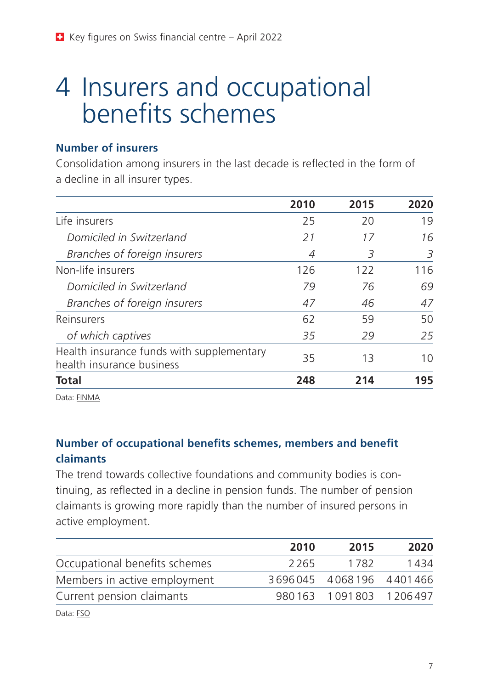### 4 Insurers and occupational benefits schemes

#### **Number of insurers**

Consolidation among insurers in the last decade is reflected in the form of a decline in all insurer types.

|                                                                        | 2010 | 2015 | 2020 |
|------------------------------------------------------------------------|------|------|------|
| Life insurers                                                          | 25   | 20   | 19   |
| Domiciled in Switzerland                                               | 21   | 17   | 16   |
| Branches of foreign insurers                                           | 4    | 3    | 3    |
| Non-life insurers                                                      | 126  | 122  | 116  |
| Domiciled in Switzerland                                               | 79   | 76   | 69   |
| Branches of foreign insurers                                           | 47   | 46   | 47   |
| Reinsurers                                                             | 62   | 59   | 50   |
| of which captives                                                      | 35   | 29   | 25   |
| Health insurance funds with supplementary<br>health insurance business | 35   | 13   | 10   |
| Total                                                                  | 248  | 214  | 195  |

Data: [FINMA](https://www.finma.ch/en/dokumentation/finma-publikationen/berichte/versicherungsbericht/)

### **Number of occupational benefits schemes, members and benefit claimants**

The trend towards collective foundations and community bodies is continuing, as reflected in a decline in pension funds. The number of pension claimants is growing more rapidly than the number of insured persons in active employment.

|                               | 2010 | 2015                    | 2020 |
|-------------------------------|------|-------------------------|------|
| Occupational benefits schemes | 2265 | 1782                    | 1434 |
| Members in active employment  |      | 3696045 4068196 4401466 |      |
| Current pension claimants     |      | 980163 1091803 1206497  |      |
| Data: FSO                     |      |                         |      |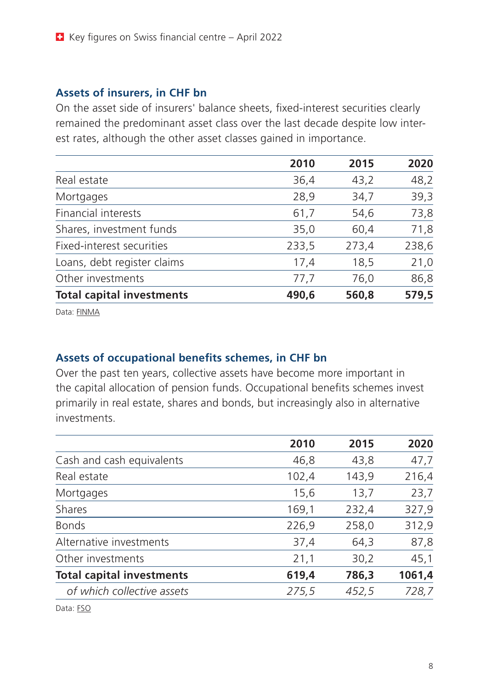#### **Assets of insurers, in CHF bn**

On the asset side of insurers' balance sheets, fixed-interest securities clearly remained the predominant asset class over the last decade despite low interest rates, although the other asset classes gained in importance.

|                                  | 2010  | 2015  | 2020  |
|----------------------------------|-------|-------|-------|
| Real estate                      | 36,4  | 43,2  | 48,2  |
| Mortgages                        | 28,9  | 34,7  | 39,3  |
| Financial interests              | 61,7  | 54,6  | 73,8  |
| Shares, investment funds         | 35,0  | 60,4  | 71,8  |
| Fixed-interest securities        | 233,5 | 273,4 | 238,6 |
| Loans, debt register claims      | 17,4  | 18,5  | 21,0  |
| Other investments                | 77,7  | 76,0  | 86,8  |
| <b>Total capital investments</b> | 490,6 | 560,8 | 579,5 |

Data: [FINMA](https://www.finma.ch/~/media/finma/dokumente/dokumentencenter/myfinma/finma-publikationen/versicherungsbericht/20210909-versicherungsmarktbericht-2020.pdf?sc_lang=en)

#### **Assets of occupational benefits schemes, in CHF bn**

Over the past ten years, collective assets have become more important in the capital allocation of pension funds. Occupational benefits schemes invest primarily in real estate, shares and bonds, but increasingly also in alternative investments.

|                                  | 2010  | 2015  | 2020   |
|----------------------------------|-------|-------|--------|
| Cash and cash equivalents        | 46,8  | 43,8  | 47,7   |
| Real estate                      | 102,4 | 143,9 | 216,4  |
| Mortgages                        | 15,6  | 13,7  | 23,7   |
| Shares                           | 169,1 | 232,4 | 327,9  |
| <b>Bonds</b>                     | 226,9 | 258,0 | 312,9  |
| Alternative investments          | 37,4  | 64,3  | 87,8   |
| Other investments                | 21,1  | 30,2  | 45,1   |
| <b>Total capital investments</b> | 619,4 | 786,3 | 1061,4 |
| of which collective assets       | 275,5 | 452,5 | 728,7  |
|                                  |       |       |        |

Data: [FSO](https://www.pxweb.bfs.admin.ch/pxweb/en/px-x-1303030000_121/-/px-x-1303030000_121.px)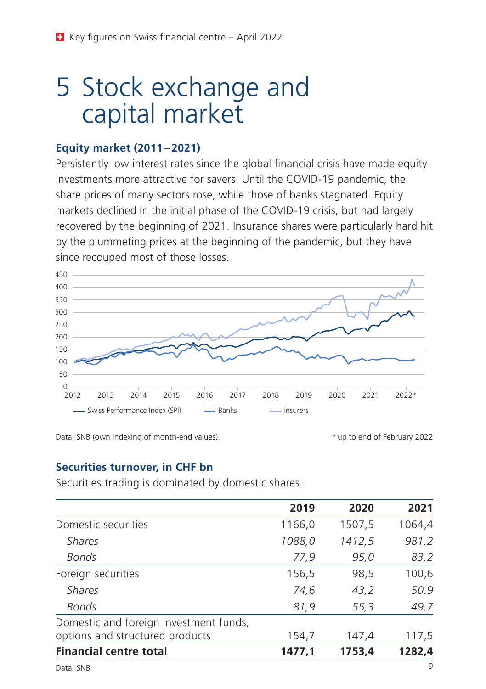### 5 Stock exchange and capital market

#### **Equity market (2011 – 2021)**

Persistently low interest rates since the global financial crisis have made equity investments more attractive for savers. Until the COVID-19 pandemic, the share prices of many sectors rose, while those of banks stagnated. Equity markets declined in the initial phase of the COVID-19 crisis, but had largely recovered by the beginning of 2021. Insurance shares were particularly hard hit by the plummeting prices at the beginning of the pandemic, but they have since recouped most of those losses.



Data: [SNB](https://data.snb.ch/en/topics/finma/cube/capchstocki?fromDate=2009-01-01&toDate=2020-02-29&dimSel=D0(GDR,B,V,NG,G)) (own indexing of month-end values). \* up to end of February 2022

#### **Securities turnover, in CHF bn**

Securities trading is dominated by domestic shares.

|                                        | 2019   | 2020   | 2021   |
|----------------------------------------|--------|--------|--------|
| Domestic securities                    | 1166,0 | 1507,5 | 1064,4 |
| <b>Shares</b>                          | 1088,0 | 1412,5 | 981,2  |
| <b>Bonds</b>                           | 77,9   | 95,0   | 83,2   |
| Foreign securities                     | 156,5  | 98,5   | 100,6  |
| <b>Shares</b>                          | 74,6   | 43,2   | 50,9   |
| Bonds                                  | 81,9   | 55,3   | 49,7   |
| Domestic and foreign investment funds, |        |        |        |
| options and structured products        | 154,7  | 147,4  | 117,5  |
| <b>Financial centre total</b>          | 1477,1 | 1753,4 | 1282,4 |
| Data: SNB                              |        |        | 9      |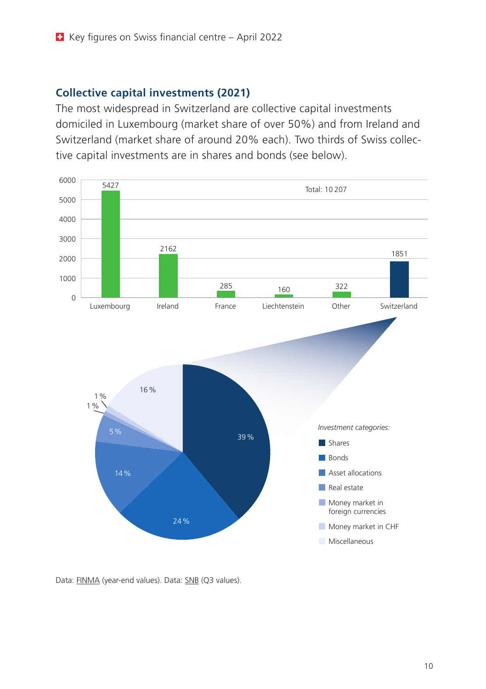#### **Collective capital investments (2021)**

The most widespread in Switzerland are collective capital investments domiciled in Luxembourg (market share of over 50%) and from Ireland and Switzerland (market share of around 20% each). Two thirds of Swiss collective capital investments are in shares and bonds (see below).



Data: [FINMA](https://www.finma.ch/en/bewilligung/asset-management/historie/) (year-end values). Data: [SNB](https://data.snb.ch/en/topics/finma/cube/capcollcat?fromDate=2018-Q3&toDate=2019-Q4&dimSel=D0(AK,NQ,M0,M1),D1(A0,O,GCHF,GF,A1,I,D,T)) (Q3 values).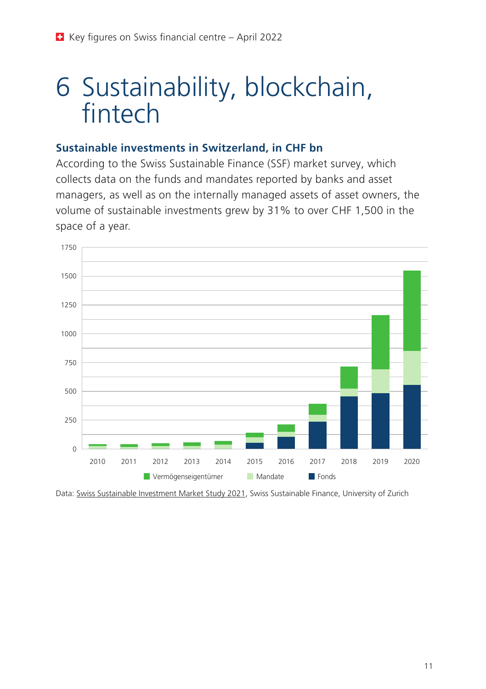### 6 Sustainability, blockchain, fintech

#### **Sustainable investments in Switzerland, in CHF bn**

According to the Swiss Sustainable Finance (SSF) market survey, which collects data on the funds and mandates reported by banks and asset managers, as well as on the internally managed assets of asset owners, the volume of sustainable investments grew by 31% to over CHF 1,500 in the space of a year.



Data: [Swiss Sustainable Investment Market Study 2021](https://www.sustainablefinance.ch/upload/cms/user/2021_06_07_SSF_Swiss_Sustainable_Investment_Market_Study_2021_E_final_Screen.pdf), Swiss Sustainable Finance, University of Zurich